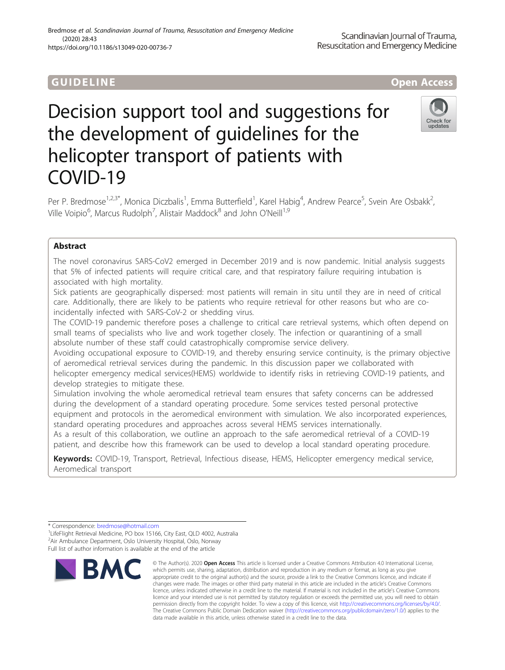# Decision support tool and suggestions for the development of guidelines for the helicopter transport of patients with COVID-19

Per P. Bredmose<sup>1,2,3\*</sup>, Monica Diczbalis<sup>1</sup>, Emma Butterfield<sup>1</sup>, Karel Habig<sup>4</sup>, Andrew Pearce<sup>5</sup>, Svein Are Osbakk<sup>2</sup> .<br>, Ville Voipio $^6$ , Marcus Rudolph $^7$ , Alistair Maddock $^8$  and John O'Neill $^{1,9}$ 

# Abstract

The novel coronavirus SARS-CoV2 emerged in December 2019 and is now pandemic. Initial analysis suggests that 5% of infected patients will require critical care, and that respiratory failure requiring intubation is associated with high mortality.

Sick patients are geographically dispersed: most patients will remain in situ until they are in need of critical care. Additionally, there are likely to be patients who require retrieval for other reasons but who are coincidentally infected with SARS-CoV-2 or shedding virus.

The COVID-19 pandemic therefore poses a challenge to critical care retrieval systems, which often depend on small teams of specialists who live and work together closely. The infection or quarantining of a small absolute number of these staff could catastrophically compromise service delivery.

Avoiding occupational exposure to COVID-19, and thereby ensuring service continuity, is the primary objective of aeromedical retrieval services during the pandemic. In this discussion paper we collaborated with helicopter emergency medical services(HEMS) worldwide to identify risks in retrieving COVID-19 patients, and develop strategies to mitigate these.

Simulation involving the whole aeromedical retrieval team ensures that safety concerns can be addressed during the development of a standard operating procedure. Some services tested personal protective equipment and protocols in the aeromedical environment with simulation. We also incorporated experiences, standard operating procedures and approaches across several HEMS services internationally.

As a result of this collaboration, we outline an approach to the safe aeromedical retrieval of a COVID-19 patient, and describe how this framework can be used to develop a local standard operating procedure.

Keywords: COVID-19, Transport, Retrieval, Infectious disease, HEMS, Helicopter emergency medical service, Aeromedical transport

**BM** 



© The Author(s), 2020 **Open Access** This article is licensed under a Creative Commons Attribution 4.0 International License, which permits use, sharing, adaptation, distribution and reproduction in any medium or format, as long as you give

Scandinavian Journal of Trauma, Resuscitation and Emergency Medicine





<sup>\*</sup> Correspondence: [bredmose@hotmail.com](mailto:bredmose@hotmail.com) <sup>1</sup>

<sup>&</sup>lt;sup>1</sup> LifeFlight Retrieval Medicine, PO box 15166, City East, QLD 4002, Australia 2 Air Ambulance Department, Oslo University Hospital, Oslo, Norway Full list of author information is available at the end of the article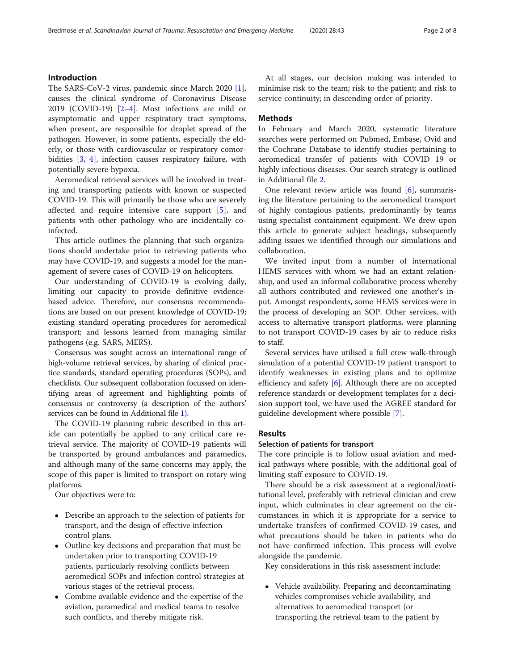# Introduction

The SARS-CoV-2 virus, pandemic since March 2020 [\[1](#page-6-0)], causes the clinical syndrome of Coronavirus Disease 2019 (COVID-19) [[2](#page-6-0)–[4](#page-6-0)]. Most infections are mild or asymptomatic and upper respiratory tract symptoms, when present, are responsible for droplet spread of the pathogen. However, in some patients, especially the elderly, or those with cardiovascular or respiratory comorbidities [[3,](#page-6-0) [4](#page-6-0)], infection causes respiratory failure, with potentially severe hypoxia.

Aeromedical retrieval services will be involved in treating and transporting patients with known or suspected COVID-19. This will primarily be those who are severely affected and require intensive care support [[5\]](#page-6-0), and patients with other pathology who are incidentally coinfected.

This article outlines the planning that such organizations should undertake prior to retrieving patients who may have COVID-19, and suggests a model for the management of severe cases of COVID-19 on helicopters.

Our understanding of COVID-19 is evolving daily, limiting our capacity to provide definitive evidencebased advice. Therefore, our consensus recommendations are based on our present knowledge of COVID-19; existing standard operating procedures for aeromedical transport; and lessons learned from managing similar pathogens (e.g. SARS, MERS).

Consensus was sought across an international range of high-volume retrieval services, by sharing of clinical practice standards, standard operating procedures (SOPs), and checklists. Our subsequent collaboration focussed on identifying areas of agreement and highlighting points of consensus or controversy (a description of the authors' services can be found in Additional file [1\)](#page-6-0).

The COVID-19 planning rubric described in this article can potentially be applied to any critical care retrieval service. The majority of COVID-19 patients will be transported by ground ambulances and paramedics, and although many of the same concerns may apply, the scope of this paper is limited to transport on rotary wing platforms.

Our objectives were to:

- Describe an approach to the selection of patients for transport, and the design of effective infection control plans.
- Outline key decisions and preparation that must be undertaken prior to transporting COVID-19 patients, particularly resolving conflicts between aeromedical SOPs and infection control strategies at various stages of the retrieval process.
- Combine available evidence and the expertise of the aviation, paramedical and medical teams to resolve such conflicts, and thereby mitigate risk.

At all stages, our decision making was intended to minimise risk to the team; risk to the patient; and risk to service continuity; in descending order of priority.

# **Methods**

In February and March 2020, systematic literature searches were performed on Pubmed, Embase, Ovid and the Cochrane Database to identify studies pertaining to aeromedical transfer of patients with COVID 19 or highly infectious diseases. Our search strategy is outlined in Additional file [2.](#page-6-0)

One relevant review article was found [[6\]](#page-6-0), summarising the literature pertaining to the aeromedical transport of highly contagious patients, predominantly by teams using specialist containment equipment. We drew upon this article to generate subject headings, subsequently adding issues we identified through our simulations and collaboration.

We invited input from a number of international HEMS services with whom we had an extant relationship, and used an informal collaborative process whereby all authors contributed and reviewed one another's input. Amongst respondents, some HEMS services were in the process of developing an SOP. Other services, with access to alternative transport platforms, were planning to not transport COVID-19 cases by air to reduce risks to staff.

Several services have utilised a full crew walk-through simulation of a potential COVID-19 patient transport to identify weaknesses in existing plans and to optimize efficiency and safety [[6\]](#page-6-0). Although there are no accepted reference standards or development templates for a decision support tool, we have used the AGREE standard for guideline development where possible [[7](#page-7-0)].

# Results

#### Selection of patients for transport

The core principle is to follow usual aviation and medical pathways where possible, with the additional goal of limiting staff exposure to COVID-19.

There should be a risk assessment at a regional/institutional level, preferably with retrieval clinician and crew input, which culminates in clear agreement on the circumstances in which it is appropriate for a service to undertake transfers of confirmed COVID-19 cases, and what precautions should be taken in patients who do not have confirmed infection. This process will evolve alongside the pandemic.

Key considerations in this risk assessment include:

 Vehicle availability. Preparing and decontaminating vehicles compromises vehicle availability, and alternatives to aeromedical transport (or transporting the retrieval team to the patient by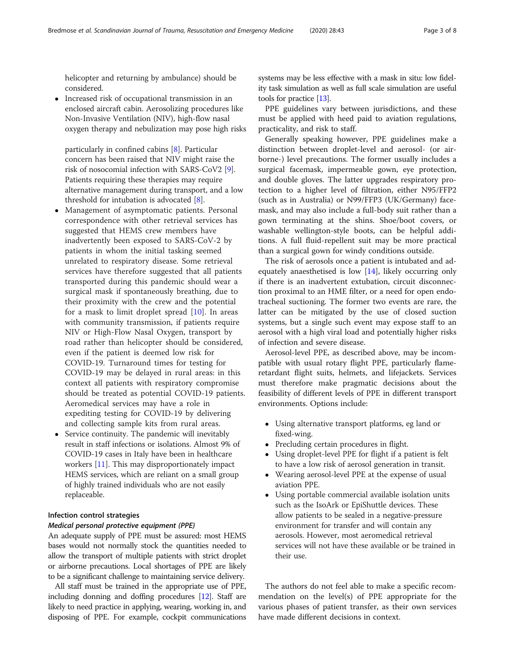helicopter and returning by ambulance) should be considered.

• Increased risk of occupational transmission in an enclosed aircraft cabin. Aerosolizing procedures like Non-Invasive Ventilation (NIV), high-flow nasal oxygen therapy and nebulization may pose high risks

particularly in confined cabins [[8\]](#page-7-0). Particular concern has been raised that NIV might raise the risk of nosocomial infection with SARS-CoV2 [[9\]](#page-7-0). Patients requiring these therapies may require alternative management during transport, and a low threshold for intubation is advocated [[8\]](#page-7-0).

- Management of asymptomatic patients. Personal correspondence with other retrieval services has suggested that HEMS crew members have inadvertently been exposed to SARS-CoV-2 by patients in whom the initial tasking seemed unrelated to respiratory disease. Some retrieval services have therefore suggested that all patients transported during this pandemic should wear a surgical mask if spontaneously breathing, due to their proximity with the crew and the potential for a mask to limit droplet spread  $[10]$ . In areas with community transmission, if patients require NIV or High-Flow Nasal Oxygen, transport by road rather than helicopter should be considered, even if the patient is deemed low risk for COVID-19. Turnaround times for testing for COVID-19 may be delayed in rural areas: in this context all patients with respiratory compromise should be treated as potential COVID-19 patients. Aeromedical services may have a role in expediting testing for COVID-19 by delivering and collecting sample kits from rural areas.
- Service continuity. The pandemic will inevitably result in staff infections or isolations. Almost 9% of COVID-19 cases in Italy have been in healthcare workers [[11](#page-7-0)]. This may disproportionately impact HEMS services, which are reliant on a small group of highly trained individuals who are not easily replaceable.

# Infection control strategies

# Medical personal protective equipment (PPE)

An adequate supply of PPE must be assured: most HEMS bases would not normally stock the quantities needed to allow the transport of multiple patients with strict droplet or airborne precautions. Local shortages of PPE are likely to be a significant challenge to maintaining service delivery.

All staff must be trained in the appropriate use of PPE, including donning and doffing procedures [\[12\]](#page-7-0). Staff are likely to need practice in applying, wearing, working in, and disposing of PPE. For example, cockpit communications systems may be less effective with a mask in situ: low fidelity task simulation as well as full scale simulation are useful tools for practice [\[13\]](#page-7-0).

PPE guidelines vary between jurisdictions, and these must be applied with heed paid to aviation regulations, practicality, and risk to staff.

Generally speaking however, PPE guidelines make a distinction between droplet-level and aerosol- (or airborne-) level precautions. The former usually includes a surgical facemask, impermeable gown, eye protection, and double gloves. The latter upgrades respiratory protection to a higher level of filtration, either N95/FFP2 (such as in Australia) or N99/FFP3 (UK/Germany) facemask, and may also include a full-body suit rather than a gown terminating at the shins. Shoe/boot covers, or washable wellington-style boots, can be helpful additions. A full fluid-repellent suit may be more practical than a surgical gown for windy conditions outside.

The risk of aerosols once a patient is intubated and adequately anaesthetised is low [\[14\]](#page-7-0), likely occurring only if there is an inadvertent extubation, circuit disconnection proximal to an HME filter, or a need for open endotracheal suctioning. The former two events are rare, the latter can be mitigated by the use of closed suction systems, but a single such event may expose staff to an aerosol with a high viral load and potentially higher risks of infection and severe disease.

Aerosol-level PPE, as described above, may be incompatible with usual rotary flight PPE, particularly flameretardant flight suits, helmets, and lifejackets. Services must therefore make pragmatic decisions about the feasibility of different levels of PPE in different transport environments. Options include:

- Using alternative transport platforms, eg land or fixed-wing.
- Precluding certain procedures in flight.
- Using droplet-level PPE for flight if a patient is felt to have a low risk of aerosol generation in transit.
- Wearing aerosol-level PPE at the expense of usual aviation PPE.
- Using portable commercial available isolation units such as the IsoArk or EpiShuttle devices. These allow patients to be sealed in a negative-pressure environment for transfer and will contain any aerosols. However, most aeromedical retrieval services will not have these available or be trained in their use.

The authors do not feel able to make a specific recommendation on the level(s) of PPE appropriate for the various phases of patient transfer, as their own services have made different decisions in context.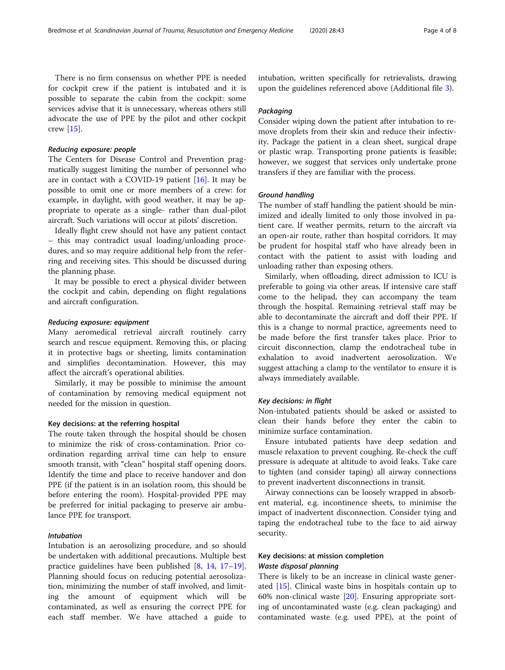There is no firm consensus on whether PPE is needed for cockpit crew if the patient is intubated and it is possible to separate the cabin from the cockpit: some services advise that it is unnecessary, whereas others still advocate the use of PPE by the pilot and other cockpit crew [\[15\]](#page-7-0).

# Reducing exposure: people

The Centers for Disease Control and Prevention pragmatically suggest limiting the number of personnel who are in contact with a COVID-19 patient [\[16](#page-7-0)]. It may be possible to omit one or more members of a crew: for example, in daylight, with good weather, it may be appropriate to operate as a single- rather than dual-pilot aircraft. Such variations will occur at pilots' discretion.

Ideally flight crew should not have any patient contact – this may contradict usual loading/unloading procedures, and so may require additional help from the referring and receiving sites. This should be discussed during the planning phase.

It may be possible to erect a physical divider between the cockpit and cabin, depending on flight regulations and aircraft configuration.

# Reducing exposure: equipment

Many aeromedical retrieval aircraft routinely carry search and rescue equipment. Removing this, or placing it in protective bags or sheeting, limits contamination and simplifies decontamination. However, this may affect the aircraft's operational abilities.

Similarly, it may be possible to minimise the amount of contamination by removing medical equipment not needed for the mission in question.

# Key decisions: at the referring hospital

The route taken through the hospital should be chosen to minimize the risk of cross-contamination. Prior coordination regarding arrival time can help to ensure smooth transit, with "clean" hospital staff opening doors. Identify the time and place to receive handover and don PPE (if the patient is in an isolation room, this should be before entering the room). Hospital-provided PPE may be preferred for initial packaging to preserve air ambulance PPE for transport.

# Intubation

Intubation is an aerosolizing procedure, and so should be undertaken with additional precautions. Multiple best practice guidelines have been published [[8,](#page-7-0) [14](#page-7-0), [17](#page-7-0)–[19](#page-7-0)]. Planning should focus on reducing potential aerosolization, minimizing the number of staff involved, and limiting the amount of equipment which will be contaminated, as well as ensuring the correct PPE for each staff member. We have attached a guide to intubation, written specifically for retrievalists, drawing upon the guidelines referenced above (Additional file [3](#page-6-0)).

# **Packaging**

Consider wiping down the patient after intubation to remove droplets from their skin and reduce their infectivity. Package the patient in a clean sheet, surgical drape or plastic wrap. Transporting prone patients is feasible; however, we suggest that services only undertake prone transfers if they are familiar with the process.

## Ground handling

The number of staff handling the patient should be minimized and ideally limited to only those involved in patient care. If weather permits, return to the aircraft via an open-air route, rather than hospital corridors. It may be prudent for hospital staff who have already been in contact with the patient to assist with loading and unloading rather than exposing others.

Similarly, when offloading, direct admission to ICU is preferable to going via other areas. If intensive care staff come to the helipad, they can accompany the team through the hospital. Remaining retrieval staff may be able to decontaminate the aircraft and doff their PPE. If this is a change to normal practice, agreements need to be made before the first transfer takes place. Prior to circuit disconnection, clamp the endotracheal tube in exhalation to avoid inadvertent aerosolization. We suggest attaching a clamp to the ventilator to ensure it is always immediately available.

#### Key decisions: in flight

Non-intubated patients should be asked or assisted to clean their hands before they enter the cabin to minimize surface contamination.

Ensure intubated patients have deep sedation and muscle relaxation to prevent coughing. Re-check the cuff pressure is adequate at altitude to avoid leaks. Take care to tighten (and consider taping) all airway connections to prevent inadvertent disconnections in transit.

Airway connections can be loosely wrapped in absorbent material, e.g. incontinence sheets, to minimise the impact of inadvertent disconnection. Consider tying and taping the endotracheal tube to the face to aid airway security.

# Key decisions: at mission completion Waste disposal planning

There is likely to be an increase in clinical waste generated [[15\]](#page-7-0). Clinical waste bins in hospitals contain up to 60% non-clinical waste [\[20\]](#page-7-0). Ensuring appropriate sorting of uncontaminated waste (e.g. clean packaging) and contaminated waste (e.g. used PPE), at the point of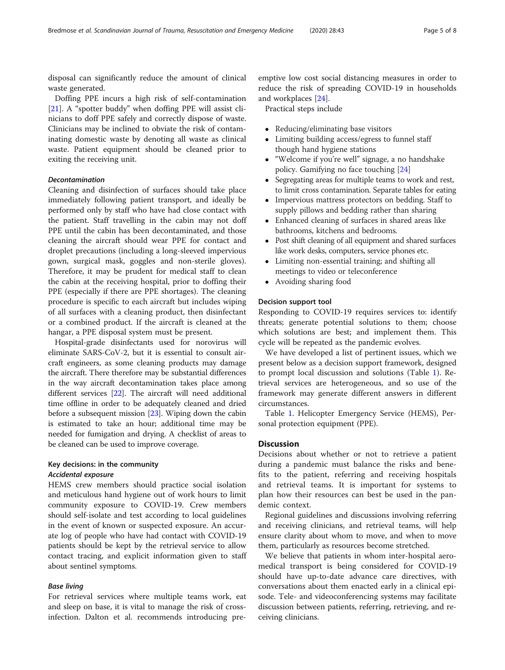Doffing PPE incurs a high risk of self-contamination [[21\]](#page-7-0). A "spotter buddy" when doffing PPE will assist clinicians to doff PPE safely and correctly dispose of waste. Clinicians may be inclined to obviate the risk of contaminating domestic waste by denoting all waste as clinical waste. Patient equipment should be cleaned prior to exiting the receiving unit.

# Decontamination

Cleaning and disinfection of surfaces should take place immediately following patient transport, and ideally be performed only by staff who have had close contact with the patient. Staff travelling in the cabin may not doff PPE until the cabin has been decontaminated, and those cleaning the aircraft should wear PPE for contact and droplet precautions (including a long-sleeved impervious gown, surgical mask, goggles and non-sterile gloves). Therefore, it may be prudent for medical staff to clean the cabin at the receiving hospital, prior to doffing their PPE (especially if there are PPE shortages). The cleaning procedure is specific to each aircraft but includes wiping of all surfaces with a cleaning product, then disinfectant or a combined product. If the aircraft is cleaned at the hangar, a PPE disposal system must be present.

Hospital-grade disinfectants used for norovirus will eliminate SARS-CoV-2, but it is essential to consult aircraft engineers, as some cleaning products may damage the aircraft. There therefore may be substantial differences in the way aircraft decontamination takes place among different services [\[22\]](#page-7-0). The aircraft will need additional time offline in order to be adequately cleaned and dried before a subsequent mission [\[23\]](#page-7-0). Wiping down the cabin is estimated to take an hour; additional time may be needed for fumigation and drying. A checklist of areas to be cleaned can be used to improve coverage.

## Key decisions: in the community

## Accidental exposure

HEMS crew members should practice social isolation and meticulous hand hygiene out of work hours to limit community exposure to COVID-19. Crew members should self-isolate and test according to local guidelines in the event of known or suspected exposure. An accurate log of people who have had contact with COVID-19 patients should be kept by the retrieval service to allow contact tracing, and explicit information given to staff about sentinel symptoms.

# Base living

For retrieval services where multiple teams work, eat and sleep on base, it is vital to manage the risk of crossinfection. Dalton et al. recommends introducing pre-

emptive low cost social distancing measures in order to reduce the risk of spreading COVID-19 in households and workplaces [\[24\]](#page-7-0).

Practical steps include

- Reducing/eliminating base visitors<br>• Limiting building access/egress to
- Limiting building access/egress to funnel staff though hand hygiene stations
- "Welcome if you're well" signage, a no handshake policy. Gamifying no face touching [[24](#page-7-0)]
- Segregating areas for multiple teams to work and rest, to limit cross contamination. Separate tables for eating
- Impervious mattress protectors on bedding. Staff to supply pillows and bedding rather than sharing
- Enhanced cleaning of surfaces in shared areas like bathrooms, kitchens and bedrooms.
- Post shift cleaning of all equipment and shared surfaces like work desks, computers, service phones etc.
- Limiting non-essential training; and shifting all meetings to video or teleconference
- Avoiding sharing food

# Decision support tool

Responding to COVID-19 requires services to: identify threats; generate potential solutions to them; choose which solutions are best; and implement them. This cycle will be repeated as the pandemic evolves.

We have developed a list of pertinent issues, which we present below as a decision support framework, designed to prompt local discussion and solutions (Table [1](#page-5-0)). Retrieval services are heterogeneous, and so use of the framework may generate different answers in different circumstances.

Table [1.](#page-5-0) Helicopter Emergency Service (HEMS), Personal protection equipment (PPE).

# **Discussion**

Decisions about whether or not to retrieve a patient during a pandemic must balance the risks and benefits to the patient, referring and receiving hospitals and retrieval teams. It is important for systems to plan how their resources can best be used in the pandemic context.

Regional guidelines and discussions involving referring and receiving clinicians, and retrieval teams, will help ensure clarity about whom to move, and when to move them, particularly as resources become stretched.

We believe that patients in whom inter-hospital aeromedical transport is being considered for COVID-19 should have up-to-date advance care directives, with conversations about them enacted early in a clinical episode. Tele- and videoconferencing systems may facilitate discussion between patients, referring, retrieving, and receiving clinicians.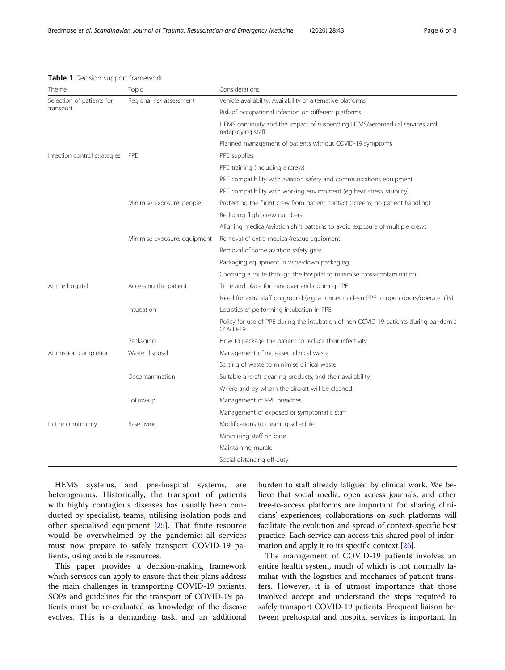#### <span id="page-5-0"></span>Table 1 Decision support framework

| Theme                                  | Topic                        | Considerations                                                                                   |
|----------------------------------------|------------------------------|--------------------------------------------------------------------------------------------------|
| Selection of patients for<br>transport | Regional risk assessment     | Vehicle availability. Availability of alternative platforms.                                     |
|                                        |                              | Risk of occupational infection on different platforms.                                           |
|                                        |                              | HEMS continuity and the impact of suspending HEMS/aeromedical services and<br>redeploying staff. |
|                                        |                              | Planned management of patients without COVID-19 symptoms                                         |
| Infection control strategies           | <b>PPE</b>                   | PPE supplies                                                                                     |
|                                        |                              | PPE training (including aircrew)                                                                 |
|                                        |                              | PPE compatibility with aviation safety and communications equipment                              |
|                                        |                              | PPE compatibility with working environment (eg heat stress, visibility)                          |
|                                        | Minimise exposure: people    | Protecting the flight crew from patient contact (screens, no patient handling)                   |
|                                        |                              | Reducing flight crew numbers                                                                     |
|                                        |                              | Aligning medical/aviation shift patterns to avoid exposure of multiple crews                     |
|                                        | Minimise exposure: equipment | Removal of extra medical/rescue equipment                                                        |
|                                        |                              | Removal of some aviation safety gear                                                             |
|                                        |                              | Packaging equipment in wipe-down packaging                                                       |
|                                        |                              | Choosing a route through the hospital to minimise cross-contamination                            |
| At the hospital                        | Accessing the patient        | Time and place for handover and donning PPE                                                      |
|                                        |                              | Need for extra staff on ground (e.g. a runner in clean PPE to open doors/operate lifts)          |
|                                        | Intubation                   | Logistics of performing intubation in PPE                                                        |
|                                        |                              | Policy for use of PPE during the intubation of non-COVID-19 patients during pandemic<br>COVID-19 |
|                                        | Packaging                    | How to package the patient to reduce their infectivity                                           |
| At mission completion                  | Waste disposal               | Management of increased clinical waste                                                           |
|                                        |                              | Sorting of waste to minimise clinical waste                                                      |
|                                        | Decontamination              | Suitable aircraft cleaning products, and their availability                                      |
|                                        |                              | Where and by whom the aircraft will be cleaned                                                   |
|                                        | Follow-up                    | Management of PPE breaches                                                                       |
|                                        |                              | Management of exposed or symptomatic staff                                                       |
| In the community                       | Base living                  | Modifications to cleaning schedule                                                               |
|                                        |                              | Minimising staff on base                                                                         |
|                                        |                              | Maintaining morale                                                                               |
|                                        |                              | Social distancing off-duty                                                                       |

HEMS systems, and pre-hospital systems, are heterogenous. Historically, the transport of patients with highly contagious diseases has usually been conducted by specialist, teams, utilising isolation pods and other specialised equipment [[25\]](#page-7-0). That finite resource would be overwhelmed by the pandemic: all services must now prepare to safely transport COVID-19 patients, using available resources.

This paper provides a decision-making framework which services can apply to ensure that their plans address the main challenges in transporting COVID-19 patients. SOPs and guidelines for the transport of COVID-19 patients must be re-evaluated as knowledge of the disease evolves. This is a demanding task, and an additional

burden to staff already fatigued by clinical work. We believe that social media, open access journals, and other free-to-access platforms are important for sharing clinicians' experiences; collaborations on such platforms will facilitate the evolution and spread of context-specific best practice. Each service can access this shared pool of information and apply it to its specific context [[26](#page-7-0)].

The management of COVID-19 patients involves an entire health system, much of which is not normally familiar with the logistics and mechanics of patient transfers. However, it is of utmost importance that those involved accept and understand the steps required to safely transport COVID-19 patients. Frequent liaison between prehospital and hospital services is important. In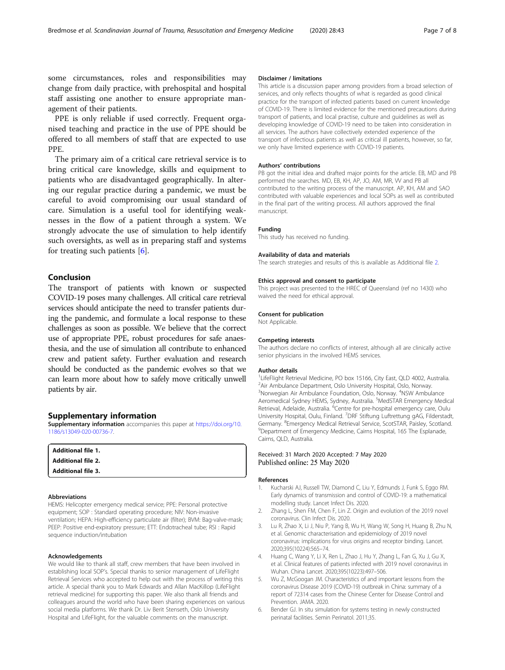<span id="page-6-0"></span>some circumstances, roles and responsibilities may change from daily practice, with prehospital and hospital staff assisting one another to ensure appropriate management of their patients.

PPE is only reliable if used correctly. Frequent organised teaching and practice in the use of PPE should be offered to all members of staff that are expected to use PPE.

The primary aim of a critical care retrieval service is to bring critical care knowledge, skills and equipment to patients who are disadvantaged geographically. In altering our regular practice during a pandemic, we must be careful to avoid compromising our usual standard of care. Simulation is a useful tool for identifying weaknesses in the flow of a patient through a system. We strongly advocate the use of simulation to help identify such oversights, as well as in preparing staff and systems for treating such patients [6].

# Conclusion

The transport of patients with known or suspected COVID-19 poses many challenges. All critical care retrieval services should anticipate the need to transfer patients during the pandemic, and formulate a local response to these challenges as soon as possible. We believe that the correct use of appropriate PPE, robust procedures for safe anaesthesia, and the use of simulation all contribute to enhanced crew and patient safety. Further evaluation and research should be conducted as the pandemic evolves so that we can learn more about how to safely move critically unwell patients by air.

# Supplementary information

Supplementary information accompanies this paper at [https://doi.org/10.](https://doi.org/10.1186/s13049-020-00736-7) [1186/s13049-020-00736-7](https://doi.org/10.1186/s13049-020-00736-7).

| <b>Additional file 1.</b> |  |
|---------------------------|--|
| <b>Additional file 2.</b> |  |
| <b>Additional file 3.</b> |  |

#### Abbreviations

HEMS: Helicopter emergency medical service; PPE: Personal protective equipment; SOP : Standard operating procedure; NIV: Non-invasive ventilation; HEPA: High-efficiency particulate air (filter); BVM: Bag-valve-mask; PEEP: Positive end-expiratory pressure; ETT: Endotracheal tube; RSI : Rapid sequence induction/intubation

#### Acknowledgements

We would like to thank all staff, crew members that have been involved in establishing local SOP's. Special thanks to senior management of LifeFlight Retrieval Services who accepted to help out with the process of writing this article. A special thank you to Mark Edwards and Allan MacKillop (LifeFlight retrieval medicine) for supporting this paper. We also thank all friends and colleagues around the world who have been sharing experiences on various social media platforms. We thank Dr. Liv Berit Stenseth, Oslo University Hospital and LifeFlight, for the valuable comments on the manuscript.

#### Disclaimer / limitations

This article is a discussion paper among providers from a broad selection of services, and only reflects thoughts of what is regarded as good clinical practice for the transport of infected patients based on current knowledge of COVID-19. There is limited evidence for the mentioned precautions during transport of patients, and local practise, culture and guidelines as well as developing knowledge of COVID-19 need to be taken into consideration in all services. The authors have collectively extended experience of the transport of infectious patients as well as critical ill patients, however, so far, we only have limited experience with COVID-19 patients.

#### Authors' contributions

PB got the initial idea and drafted major points for the article. EB, MD and PB performed the searches. MD, EB, KH, AP, JO, AM, MR, VV and PB all contributed to the writing process of the manuscript. AP, KH, AM and SAO contributed with valuable experiences and local SOPs as well as contributed in the final part of the writing process. All authors approved the final manuscript.

#### Funding

This study has received no funding.

#### Availability of data and materials

The search strategies and results of this is available as Additional file 2.

#### Ethics approval and consent to participate

This project was presented to the HREC of Queensland (ref no 1430) who waived the need for ethical approval.

#### Consent for publication

Not Applicable.

#### Competing interests

The authors declare no conflicts of interest, although all are clinically active senior physicians in the involved HEMS services.

#### Author details

<sup>1</sup> LifeFlight Retrieval Medicine, PO box 15166, City East, QLD 4002, Australia <sup>2</sup> Air Ambulance Department, Oslo University Hospital, Oslo, Norway. <sup>3</sup>Norwegian Air Ambulance Foundation, Oslo, Norway. <sup>4</sup>NSW Ambulance Aeromedical Sydney HEMS, Sydney, Australia. <sup>5</sup>MedSTAR Emergency Medical Retrieval, Adelaide, Australia. <sup>6</sup>Centre for pre-hospital emergency care, Oulu University Hospital, Oulu, Finland. <sup>7</sup>DRF Stiftung Luftrettung gAG, Filderstadt Germany. <sup>8</sup> Emergency Medical Retrieval Service, ScotSTAR, Paisley, Scotland.<br><sup>9</sup> Department of Emergency Medicine, Caires Hespital, 165 The Esplanade. <sup>9</sup>Department of Emergency Medicine, Cairns Hospital, 165 The Esplanade, Cairns, QLD, Australia.

#### Received: 31 March 2020 Accepted: 7 May 2020 Published online: 25 May 2020

#### References

- 1. Kucharski AJ, Russell TW, Diamond C, Liu Y, Edmunds J, Funk S, Eggo RM. Early dynamics of transmission and control of COVID-19: a mathematical modelling study. Lancet Infect Dis. 2020.
- 2. Zhang L, Shen FM, Chen F, Lin Z. Origin and evolution of the 2019 novel coronavirus. Clin Infect Dis. 2020.
- 3. Lu R, Zhao X, Li J, Niu P, Yang B, Wu H, Wang W, Song H, Huang B, Zhu N, et al. Genomic characterisation and epidemiology of 2019 novel coronavirus: implications for virus origins and receptor binding. Lancet. 2020;395(10224):565–74.
- 4. Huang C, Wang Y, Li X, Ren L, Zhao J, Hu Y, Zhang L, Fan G, Xu J, Gu X, et al. Clinical features of patients infected with 2019 novel coronavirus in Wuhan. China Lancet. 2020;395(10223):497–506.
- 5. Wu Z, McGoogan JM. Characteristics of and important lessons from the coronavirus Disease 2019 (COVID-19) outbreak in China: summary of a report of 72314 cases from the Chinese Center for Disease Control and Prevention. JAMA. 2020.
- 6. Bender GJ. In situ simulation for systems testing in newly constructed perinatal facilities. Semin Perinatol. 2011;35.